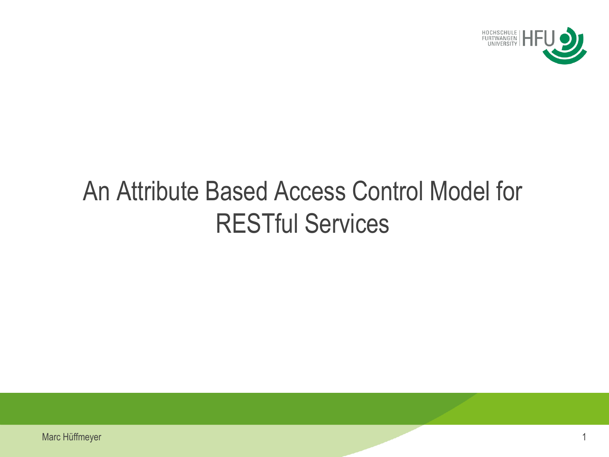

# An Attribute Based Access Control Model for RESTful Services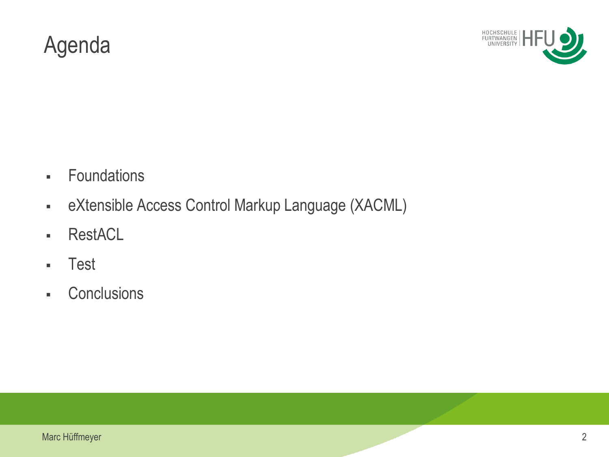#### Agenda



- **Foundations**
- eXtensible Access Control Markup Language (XACML)
- RestACL
- Test
- Conclusions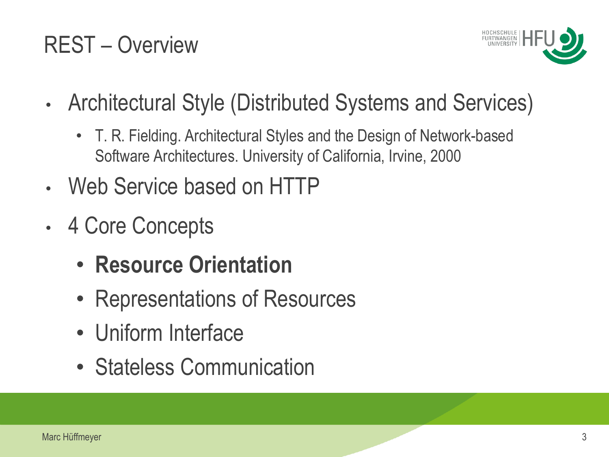### REST – Overview



- Architectural Style (Distributed Systems and Services)
	- T. R. Fielding. Architectural Styles and the Design of Network-based Software Architectures. University of California, Irvine, 2000
- Web Service based on HTTP
- 4 Core Concepts
	- **Resource Orientation**
	- Representations of Resources
	- Uniform Interface
	- Stateless Communication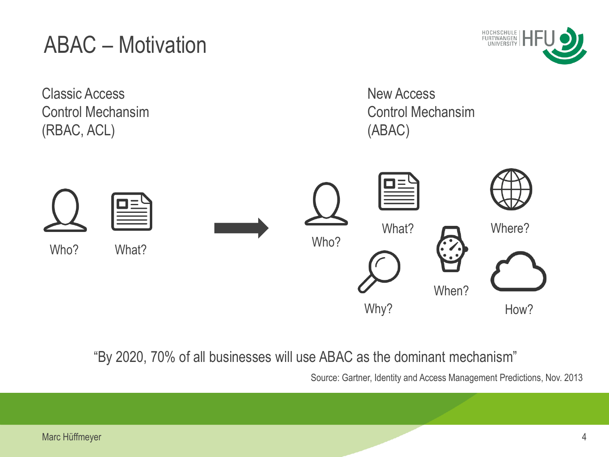#### ABAC – Motivation

Classic Access Control Mechansim (RBAC, ACL)





"By 2020, 70% of all businesses will use ABAC as the dominant mechanism"

Source: Gartner, Identity and Access Management Predictions, Nov. 2013

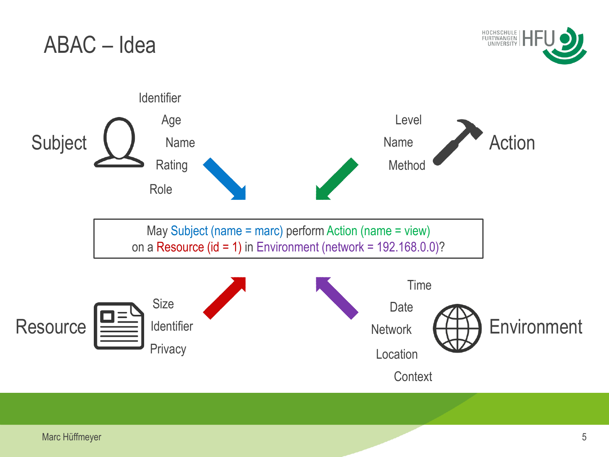

**Context**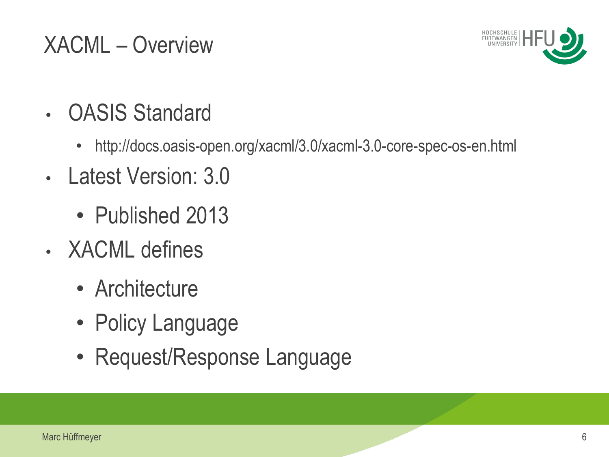## XACML – Overview



- OASIS Standard
	- http://docs.oasis-open.org/xacml/3.0/xacml-3.0-core-spec-os-en.html
- Latest Version: 3.0
	- Published 2013
- XACML defines
	- Architecture
	- Policy Language
	- Request/Response Language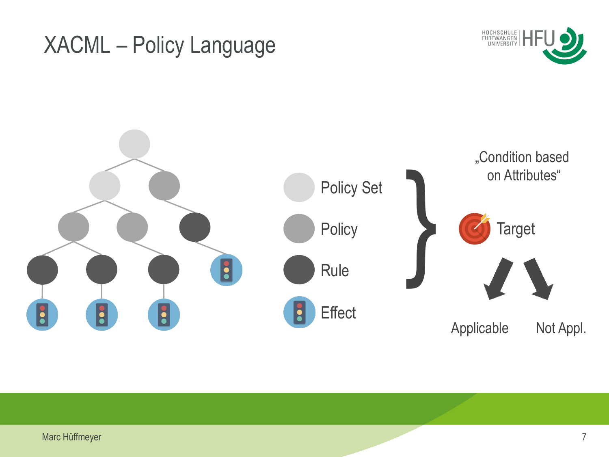#### XACML – Policy Language



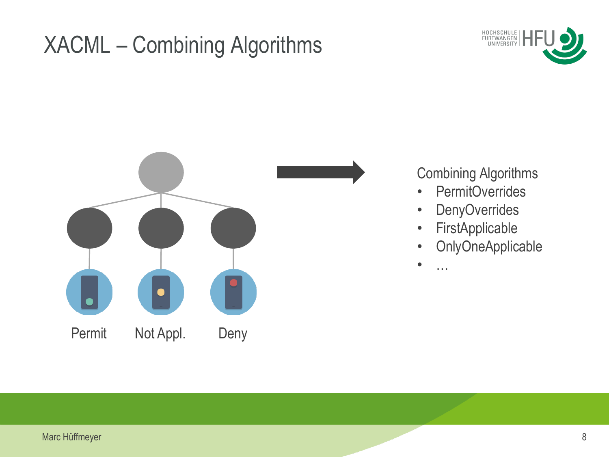## XACML – Combining Algorithms





#### Combining Algorithms

- PermitOverrides
- DenyOverrides
- FirstApplicable
- OnlyOneApplicable

 $\bullet$  …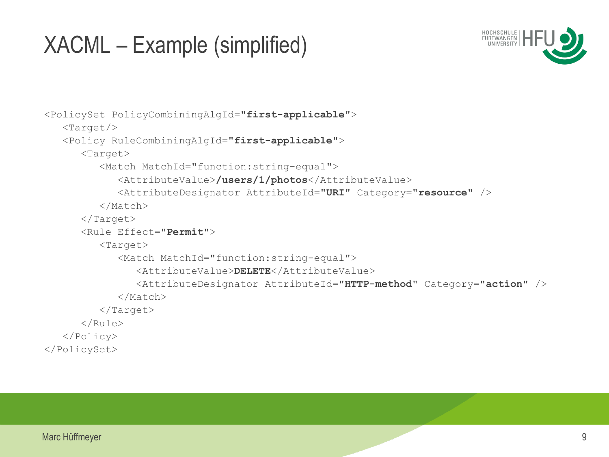#### XACML – Example (simplified)



```
<PolicySet PolicyCombiningAlgId="first-applicable">
    <Target/>
    <Policy RuleCombiningAlgId="first-applicable">
       <Target>
          <Match MatchId="function:string-equal">
             <AttributeValue>/users/1/photos</AttributeValue>
             <AttributeDesignator AttributeId="URI" Category="resource" />
          </Match>
      \langleTarget>
       <Rule Effect="Permit">
          <Target>
             <Match MatchId="function:string-equal">
                <AttributeValue>DELETE</AttributeValue>
                <AttributeDesignator AttributeId="HTTP-method" Category="action" />
             </Match>
          </Target>
       </Rule>
    </Policy>
</PolicySet>
```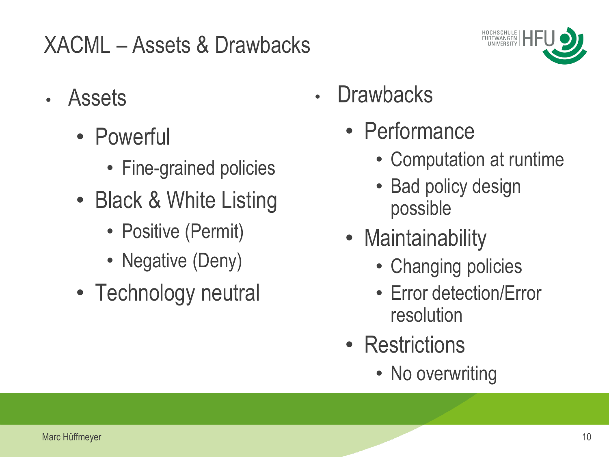## XACML – Assets & Drawbacks



- Assets
	- Powerful
		- Fine-grained policies
	- Black & White Listing
		- Positive (Permit)
		- Negative (Deny)
	- Technology neutral
- **Drawbacks** 
	- Performance
		- Computation at runtime
		- Bad policy design possible
	- Maintainability
		- Changing policies
		- Error detection/Error resolution
	- Restrictions
		- No overwriting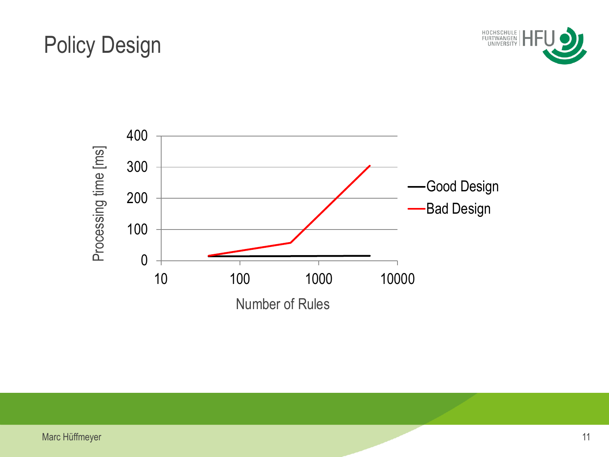#### Policy Design



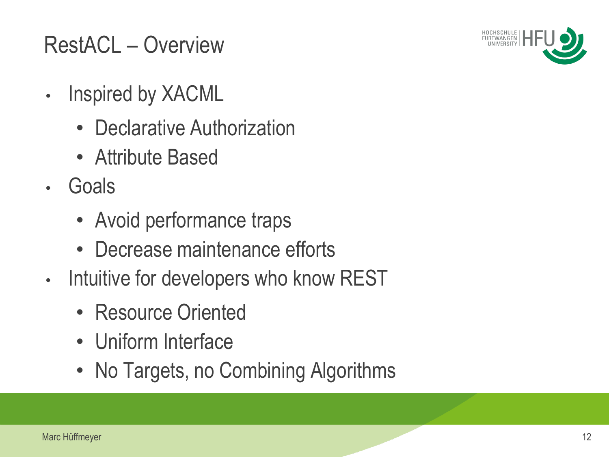

## RestACL – Overview

- Inspired by XACML
	- Declarative Authorization
	- Attribute Based
- Goals
	- Avoid performance traps
	- Decrease maintenance efforts
- Intuitive for developers who know REST
	- Resource Oriented
	- Uniform Interface
	- No Targets, no Combining Algorithms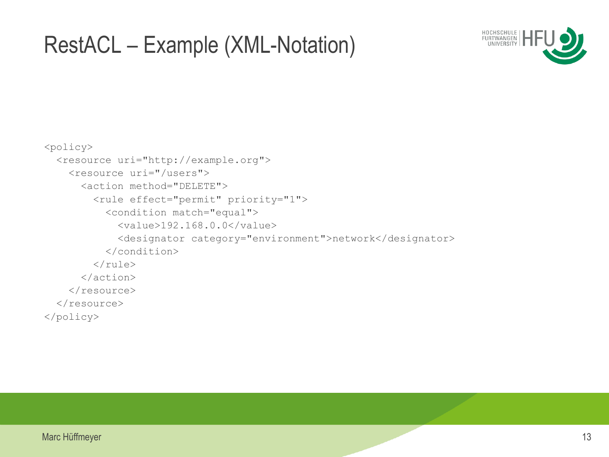#### RestACL – Example (XML-Notation)



```
<policy>
   <resource uri="http://example.org">
     <resource uri="/users">
       <action method="DELETE">
          <rule effect="permit" priority="1">
            <condition match="equal">
              <value>192.168.0.0</value>
              <designator category="environment">network</designator>
            </condition> 
         \langle/rule\rangle </action>
    \langle/resource>
  \langle/resource>
</policy>
```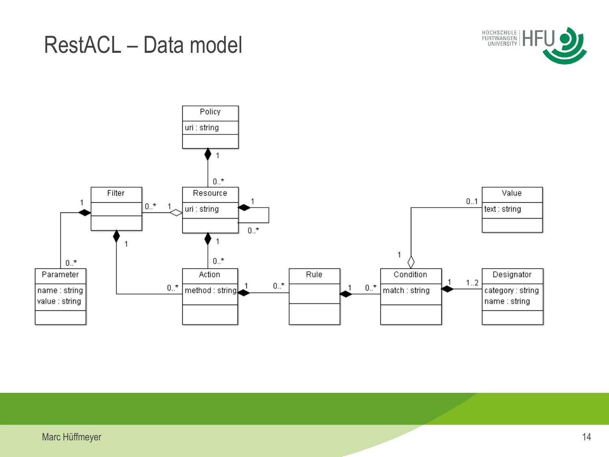#### RestACL – Data model



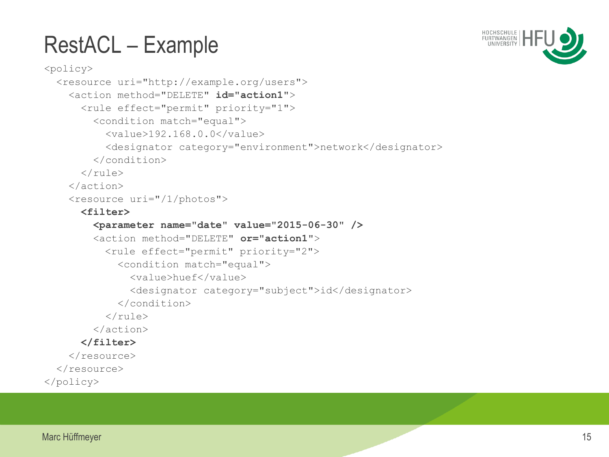## RestACL – Example



```
<policy>
   <resource uri="http://example.org/users">
     <action method="DELETE" id="action1">
       <rule effect="permit" priority="1">
         <condition match="equal">
           <value>192.168.0.0</value>
           <designator category="environment">network</designator>
         </condition> 
      \langle/rule>
     </action>
     <resource uri="/1/photos">
       <filter>
         <parameter name="date" value="2015-06-30" />
         <action method="DELETE" or="action1">
          <rule effect="permit" priority="2">
              <condition match="equal">
                <value>huef</value>
                <designator category="subject">id</designator>
              </condition> 
          \langle rule\rangle </action>
       </filter>
     </resource>
  \langle/resource>
</policy>
```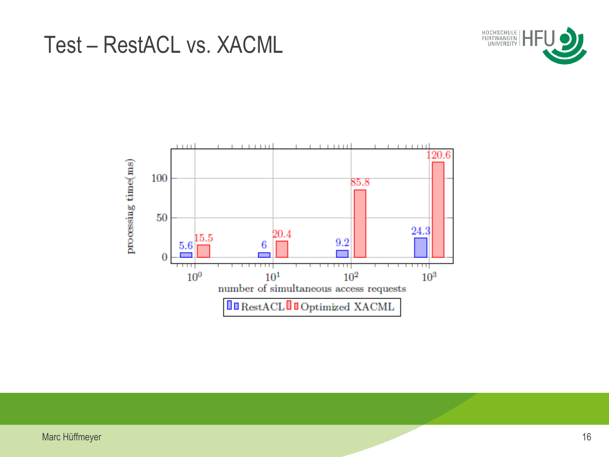



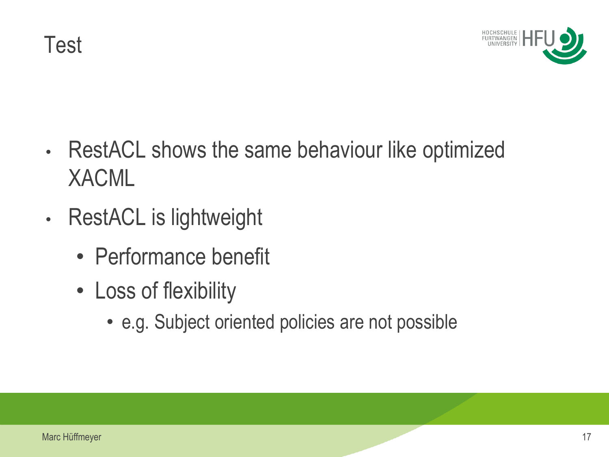Test



- RestACL shows the same behaviour like optimized XACML
- RestACL is lightweight
	- Performance benefit
	- Loss of flexibility
		- e.g. Subject oriented policies are not possible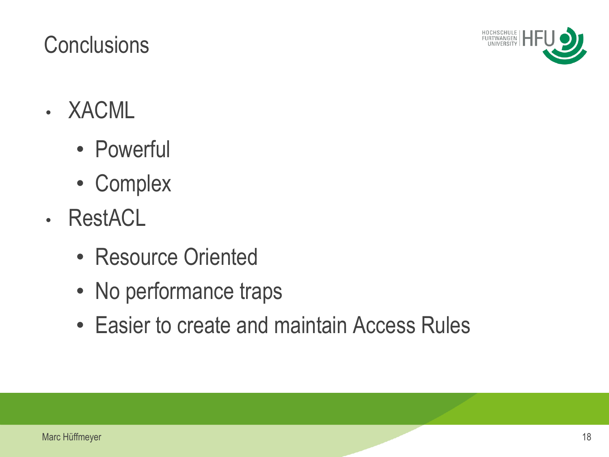#### Marc Hüffmeyer 18 and the contract of the contract of the contract of the contract of the contract of the contract of the contract of the contract of the contract of the contract of the contract of the contract of the cont

#### **Conclusions**

- XACML
	- Powerful
	- Complex
- RestACL
	- Resource Oriented
	- No performance traps
	- Easier to create and maintain Access Rules